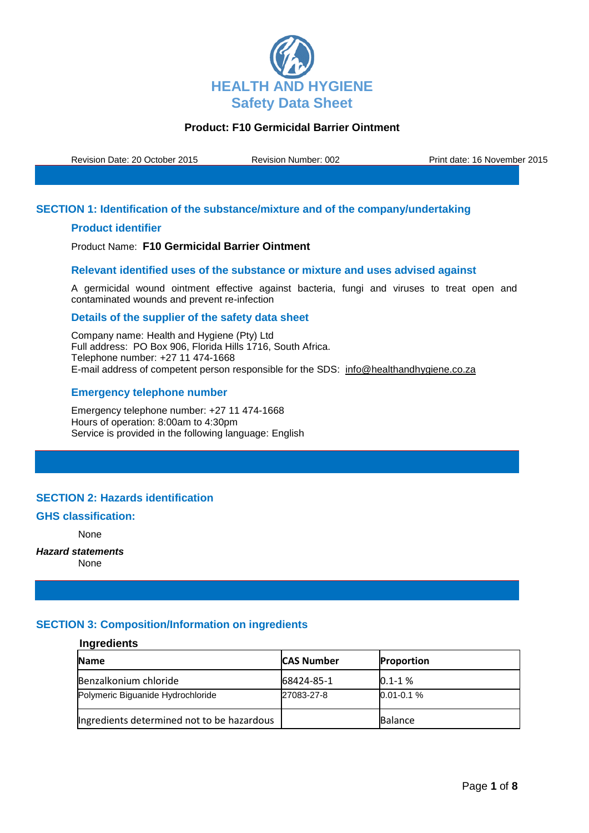

Revision Date: 20 October 2015 Revision Number: 002 Print date: 16 November 2015

## **SECTION 1: Identification of the substance/mixture and of the company/undertaking**

## **Product identifier**

Product Name: **F10 Germicidal Barrier Ointment**

### **Relevant identified uses of the substance or mixture and uses advised against**

A germicidal wound ointment effective against bacteria, fungi and viruses to treat open and contaminated wounds and prevent re-infection

#### **Details of the supplier of the safety data sheet**

Company name: Health and Hygiene (Pty) Ltd Full address: PO Box 906, Florida Hills 1716, South Africa. Telephone number: +27 11 474-1668 E-mail address of competent person responsible for the SDS: info@healthandhygiene.co.za

### **Emergency telephone number**

Emergency telephone number: +27 11 474-1668 Hours of operation: 8:00am to 4:30pm Service is provided in the following language: English

## **SECTION 2: Hazards identification**

#### **GHS classification:**

None

## *Hazard statements*

None

## **SECTION 3: Composition/Information on ingredients**

# **Ingredients**

| <b>Name</b>                                | <b>CAS Number</b> | <b>Proportion</b> |
|--------------------------------------------|-------------------|-------------------|
| Benzalkonium chloride                      | 68424-85-1        | $0.1 - 1%$        |
| Polymeric Biguanide Hydrochloride          | 27083-27-8        | $0.01 - 0.1 %$    |
| Ingredients determined not to be hazardous |                   | <b>Balance</b>    |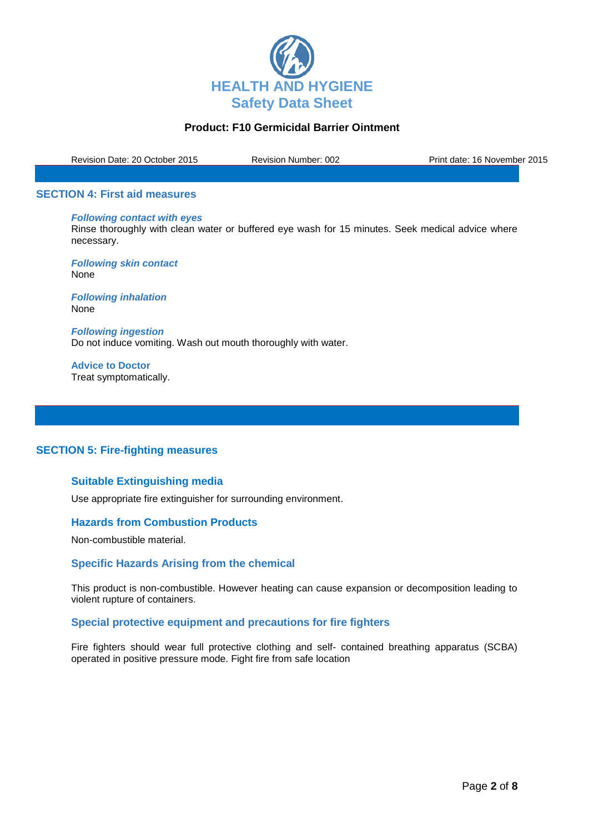

Revision Date: 20 October 2015 Revision Number: 002 Print date: 16 November 2015

#### **SECTION 4: First aid measures**

#### *Following contact with eyes*

Rinse thoroughly with clean water or buffered eye wash for 15 minutes. Seek medical advice where necessary.

*Following skin contact* None

*Following inhalation* None

*Following ingestion* Do not induce vomiting. Wash out mouth thoroughly with water.

**Advice to Doctor** Treat symptomatically.

### **SECTION 5: Fire-fighting measures**

### **Suitable Extinguishing media**

Use appropriate fire extinguisher for surrounding environment.

### **Hazards from Combustion Products**

Non-combustible material.

#### **Specific Hazards Arising from the chemical**

This product is non-combustible. However heating can cause expansion or decomposition leading to violent rupture of containers.

#### **Special protective equipment and precautions for fire fighters**

Fire fighters should wear full protective clothing and self- contained breathing apparatus (SCBA) operated in positive pressure mode. Fight fire from safe location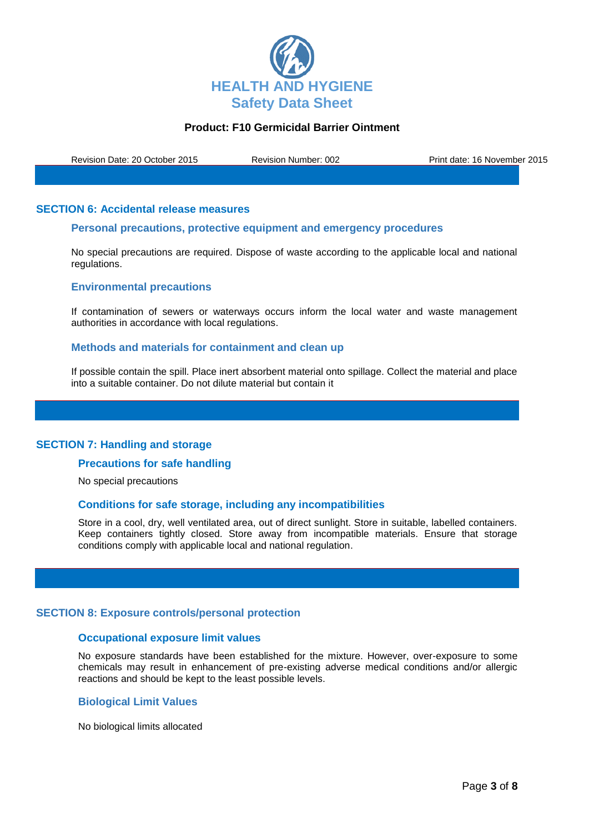

Revision Date: 20 October 2015 Revision Number: 002 Print date: 16 November 2015

### **SECTION 6: Accidental release measures**

## **Personal precautions, protective equipment and emergency procedures**

No special precautions are required. Dispose of waste according to the applicable local and national regulations.

### **Environmental precautions**

If contamination of sewers or waterways occurs inform the local water and waste management authorities in accordance with local regulations.

#### **Methods and materials for containment and clean up**

If possible contain the spill. Place inert absorbent material onto spillage. Collect the material and place into a suitable container. Do not dilute material but contain it

## **SECTION 7: Handling and storage**

#### **Precautions for safe handling**

No special precautions

#### **Conditions for safe storage, including any incompatibilities**

Store in a cool, dry, well ventilated area, out of direct sunlight. Store in suitable, labelled containers. Keep containers tightly closed. Store away from incompatible materials. Ensure that storage conditions comply with applicable local and national regulation.

#### **SECTION 8: Exposure controls/personal protection**

#### **Occupational exposure limit values**

No exposure standards have been established for the mixture. However, over-exposure to some chemicals may result in enhancement of pre-existing adverse medical conditions and/or allergic reactions and should be kept to the least possible levels.

#### **Biological Limit Values**

No biological limits allocated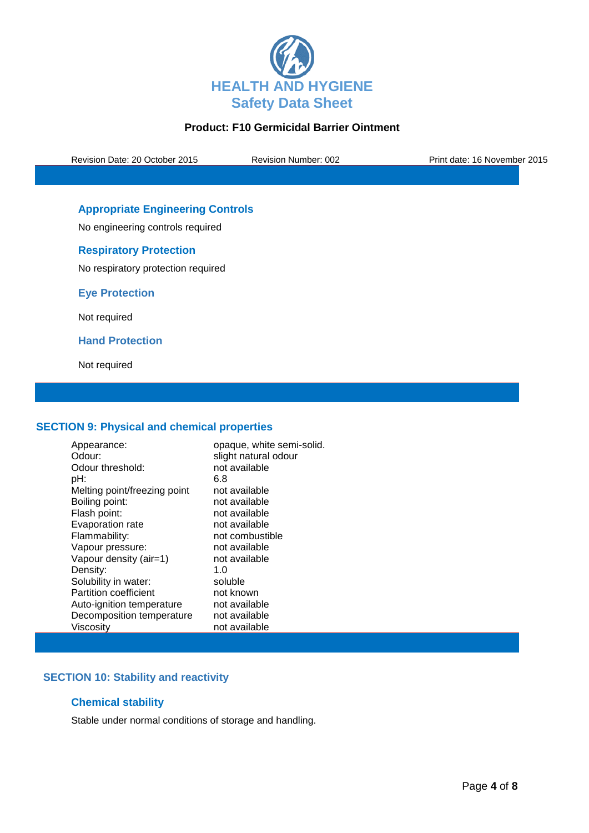

Revision Date: 20 October 2015 Revision Number: 002 Print date: 16 November 2015

# **Appropriate Engineering Controls**

No engineering controls required

## **Respiratory Protection**

No respiratory protection required

**Eye Protection**

Not required

**Hand Protection**

Not required

## **SECTION 9: Physical and chemical properties**

| Appearance:                  | opaque, white semi-solid. |
|------------------------------|---------------------------|
| Odour:                       | slight natural odour      |
| Odour threshold:             | not available             |
| pH:                          | 6.8                       |
| Melting point/freezing point | not available             |
| Boiling point:               | not available             |
| Flash point:                 | not available             |
| Evaporation rate             | not available             |
| Flammability:                | not combustible           |
| Vapour pressure:             | not available             |
| Vapour density (air=1)       | not available             |
| Density:                     | 1.0                       |
| Solubility in water:         | soluble                   |
| <b>Partition coefficient</b> | not known                 |
| Auto-ignition temperature    | not available             |
| Decomposition temperature    | not available             |
| Viscosity                    | not available             |

## **SECTION 10: Stability and reactivity**

## **Chemical stability**

Stable under normal conditions of storage and handling.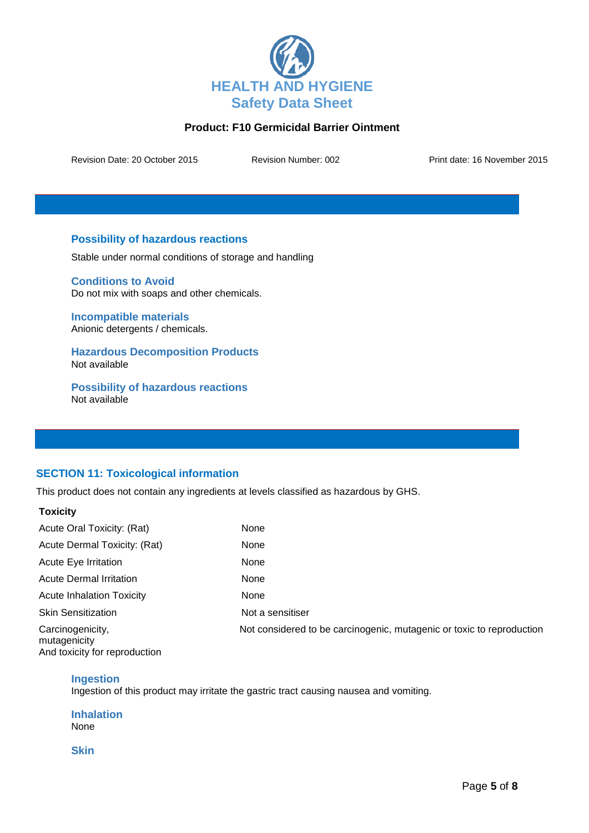

Revision Date: 20 October 2015 Revision Number: 002 Print date: 16 November 2015

## **Possibility of hazardous reactions**

Stable under normal conditions of storage and handling

**Conditions to Avoid** Do not mix with soaps and other chemicals.

**Incompatible materials** Anionic detergents / chemicals.

**Hazardous Decomposition Products** Not available

**Possibility of hazardous reactions** Not available

# **SECTION 11: Toxicological information**

This product does not contain any ingredients at levels classified as hazardous by GHS.

| I UAIVILY                                                         |                                                                       |
|-------------------------------------------------------------------|-----------------------------------------------------------------------|
| Acute Oral Toxicity: (Rat)                                        | None                                                                  |
| Acute Dermal Toxicity: (Rat)                                      | None                                                                  |
| Acute Eye Irritation                                              | None                                                                  |
| <b>Acute Dermal Irritation</b>                                    | None                                                                  |
| <b>Acute Inhalation Toxicity</b>                                  | None                                                                  |
| <b>Skin Sensitization</b>                                         | Not a sensitiser                                                      |
| Carcinogenicity,<br>mutagenicity<br>And toxicity for reproduction | Not considered to be carcinogenic, mutagenic or toxic to reproduction |

## **Ingestion**

**Toxicity**

Ingestion of this product may irritate the gastric tract causing nausea and vomiting.

**Inhalation** None

**Skin**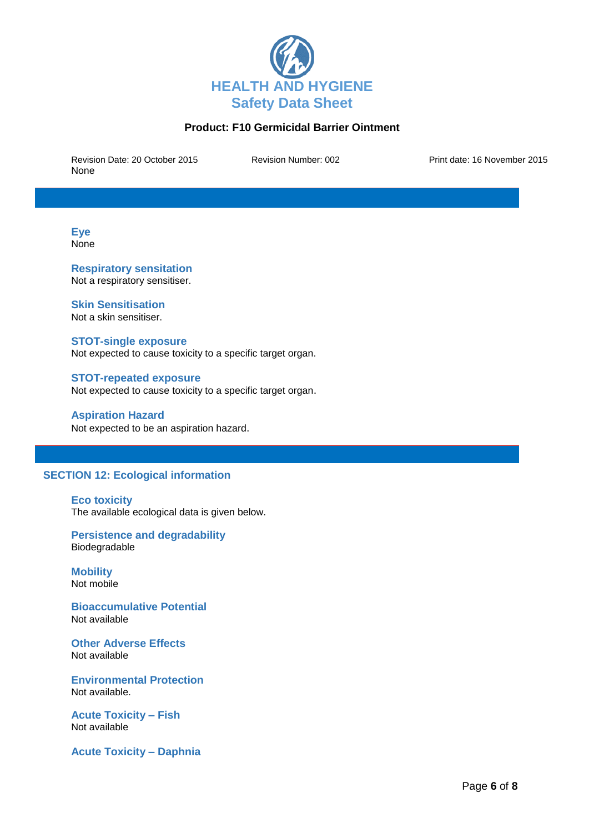

Revision Date: 20 October 2015 Revision Number: 002 Print date: 16 November 2015 None

**Eye None** 

**Respiratory sensitation** Not a respiratory sensitiser.

## **Skin Sensitisation**

Not a skin sensitiser.

#### **STOT-single exposure**

Not expected to cause toxicity to a specific target organ.

# **STOT-repeated exposure**

Not expected to cause toxicity to a specific target organ.

#### **Aspiration Hazard**

Not expected to be an aspiration hazard.

## **SECTION 12: Ecological information**

#### **Eco toxicity**

The available ecological data is given below.

### **Persistence and degradability** Biodegradable

**Mobility** Not mobile

**Bioaccumulative Potential** Not available

**Other Adverse Effects** Not available

**Environmental Protection** Not available.

**Acute Toxicity – Fish** Not available

**Acute Toxicity – Daphnia**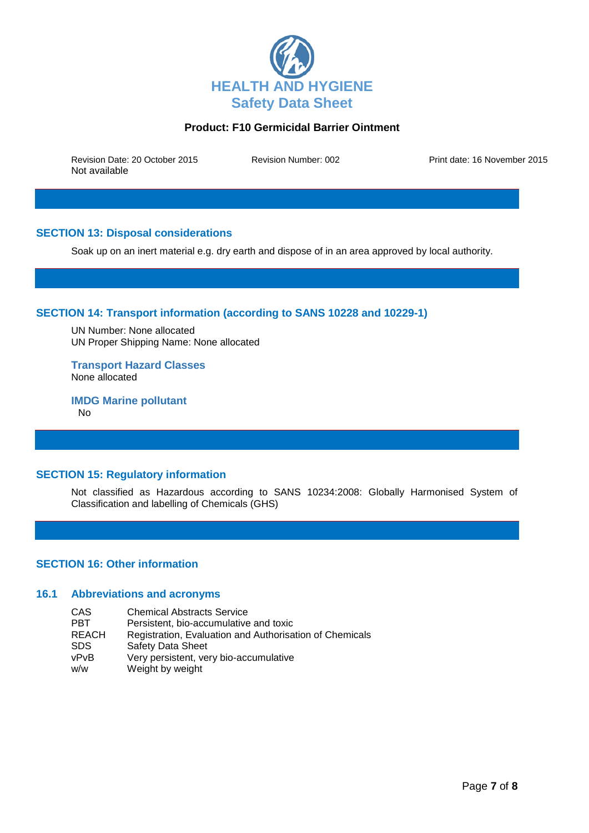

Revision Date: 20 October 2015 Revision Number: 002 Print date: 16 November 2015 Not available

# **SECTION 13: Disposal considerations**

Soak up on an inert material e.g. dry earth and dispose of in an area approved by local authority.

## **SECTION 14: Transport information (according to SANS 10228 and 10229-1)**

UN Number: None allocated UN Proper Shipping Name: None allocated

**Transport Hazard Classes** None allocated

**IMDG Marine pollutant** No

## **SECTION 15: Regulatory information**

Not classified as Hazardous according to SANS 10234:2008: Globally Harmonised System of Classification and labelling of Chemicals (GHS)

## **SECTION 16: Other information**

## **16.1 Abbreviations and acronyms**

- CAS Chemical Abstracts Service<br>
PBT Persistent bio-accumulative
- **PBT** Persistent, bio-accumulative and toxic<br>REACH Registration, Evaluation and Authorisa
- Registration, Evaluation and Authorisation of Chemicals
- SDS Safety Data Sheet
- vPvB Very persistent, very bio-accumulative
- w/w Weight by weight